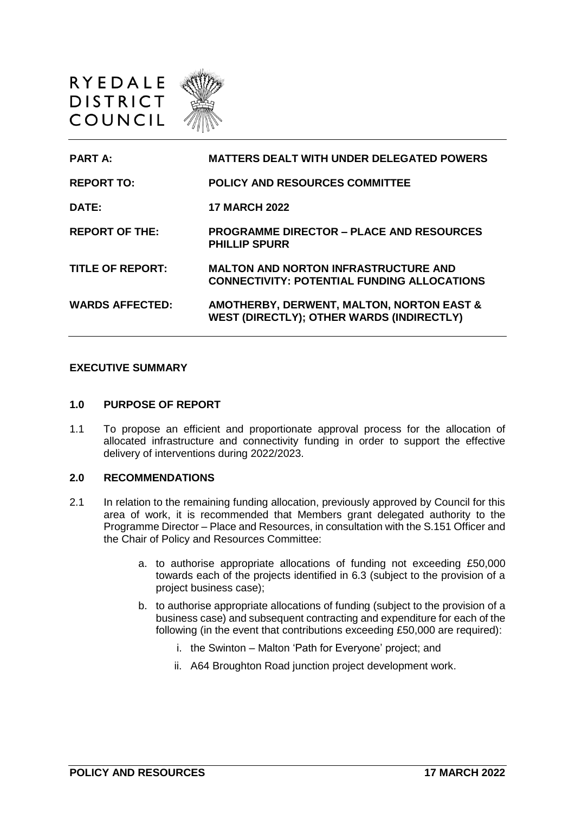

| <b>PART A:</b>          | <b>MATTERS DEALT WITH UNDER DELEGATED POWERS</b>                                                         |
|-------------------------|----------------------------------------------------------------------------------------------------------|
| <b>REPORT TO:</b>       | <b>POLICY AND RESOURCES COMMITTEE</b>                                                                    |
| DATE:                   | <b>17 MARCH 2022</b>                                                                                     |
| <b>REPORT OF THE:</b>   | <b>PROGRAMME DIRECTOR – PLACE AND RESOURCES</b><br><b>PHILLIP SPURR</b>                                  |
| <b>TITLE OF REPORT:</b> | <b>MALTON AND NORTON INFRASTRUCTURE AND</b><br><b>CONNECTIVITY: POTENTIAL FUNDING ALLOCATIONS</b>        |
| <b>WARDS AFFECTED:</b>  | <b>AMOTHERBY, DERWENT, MALTON, NORTON EAST &amp;</b><br><b>WEST (DIRECTLY); OTHER WARDS (INDIRECTLY)</b> |

## **EXECUTIVE SUMMARY**

#### **1.0 PURPOSE OF REPORT**

1.1 To propose an efficient and proportionate approval process for the allocation of allocated infrastructure and connectivity funding in order to support the effective delivery of interventions during 2022/2023.

#### **2.0 RECOMMENDATIONS**

- 2.1 In relation to the remaining funding allocation, previously approved by Council for this area of work, it is recommended that Members grant delegated authority to the Programme Director – Place and Resources, in consultation with the S.151 Officer and the Chair of Policy and Resources Committee:
	- a. to authorise appropriate allocations of funding not exceeding £50,000 towards each of the projects identified in 6.3 (subject to the provision of a project business case);
	- b. to authorise appropriate allocations of funding (subject to the provision of a business case) and subsequent contracting and expenditure for each of the following (in the event that contributions exceeding £50,000 are required):
		- i. the Swinton Malton 'Path for Everyone' project; and
		- ii. A64 Broughton Road junction project development work.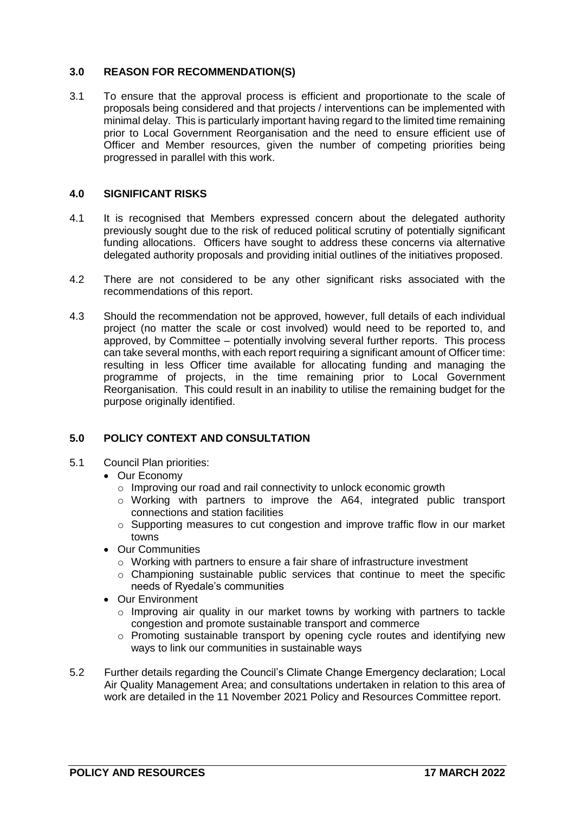# **3.0 REASON FOR RECOMMENDATION(S)**

3.1 To ensure that the approval process is efficient and proportionate to the scale of proposals being considered and that projects / interventions can be implemented with minimal delay. This is particularly important having regard to the limited time remaining prior to Local Government Reorganisation and the need to ensure efficient use of Officer and Member resources, given the number of competing priorities being progressed in parallel with this work.

# **4.0 SIGNIFICANT RISKS**

- 4.1 It is recognised that Members expressed concern about the delegated authority previously sought due to the risk of reduced political scrutiny of potentially significant funding allocations. Officers have sought to address these concerns via alternative delegated authority proposals and providing initial outlines of the initiatives proposed.
- 4.2 There are not considered to be any other significant risks associated with the recommendations of this report.
- 4.3 Should the recommendation not be approved, however, full details of each individual project (no matter the scale or cost involved) would need to be reported to, and approved, by Committee – potentially involving several further reports. This process can take several months, with each report requiring a significant amount of Officer time: resulting in less Officer time available for allocating funding and managing the programme of projects, in the time remaining prior to Local Government Reorganisation. This could result in an inability to utilise the remaining budget for the purpose originally identified.

# **5.0 POLICY CONTEXT AND CONSULTATION**

- 5.1 Council Plan priorities:
	- Our Economy
		- o Improving our road and rail connectivity to unlock economic growth
		- o Working with partners to improve the A64, integrated public transport connections and station facilities
		- $\circ$  Supporting measures to cut congestion and improve traffic flow in our market towns
	- Our Communities
		- o Working with partners to ensure a fair share of infrastructure investment
		- o Championing sustainable public services that continue to meet the specific needs of Ryedale's communities
	- Our Environment
		- $\circ$  Improving air quality in our market towns by working with partners to tackle congestion and promote sustainable transport and commerce
		- o Promoting sustainable transport by opening cycle routes and identifying new ways to link our communities in sustainable ways
- 5.2 Further details regarding the Council's Climate Change Emergency declaration; Local Air Quality Management Area; and consultations undertaken in relation to this area of work are detailed in the 11 November 2021 Policy and Resources Committee report.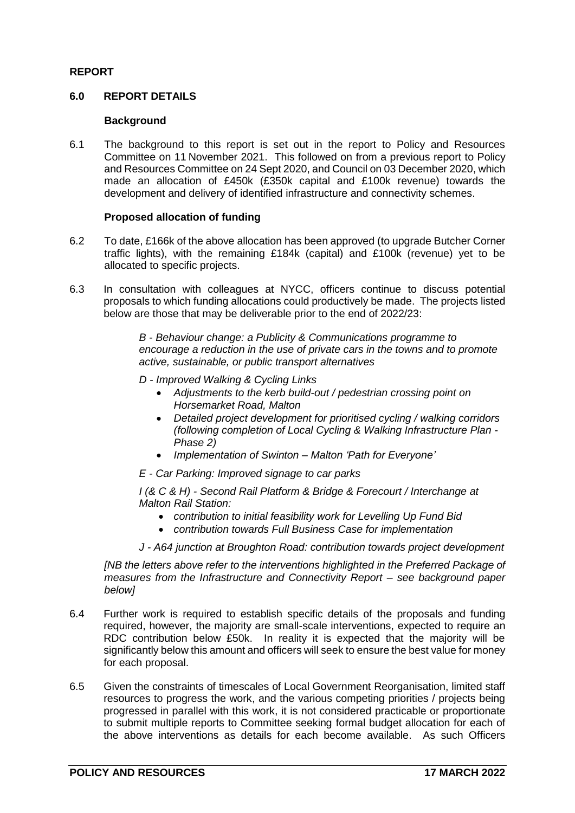# **REPORT**

## **6.0 REPORT DETAILS**

## **Background**

6.1 The background to this report is set out in the report to Policy and Resources Committee on 11 November 2021. This followed on from a previous report to Policy and Resources Committee on 24 Sept 2020, and Council on 03 December 2020, which made an allocation of £450k (£350k capital and £100k revenue) towards the development and delivery of identified infrastructure and connectivity schemes.

## **Proposed allocation of funding**

- 6.2 To date, £166k of the above allocation has been approved (to upgrade Butcher Corner traffic lights), with the remaining £184k (capital) and £100k (revenue) yet to be allocated to specific projects.
- 6.3 In consultation with colleagues at NYCC, officers continue to discuss potential proposals to which funding allocations could productively be made. The projects listed below are those that may be deliverable prior to the end of 2022/23:

*B - Behaviour change: a Publicity & Communications programme to encourage a reduction in the use of private cars in the towns and to promote active, sustainable, or public transport alternatives*

- *D - Improved Walking & Cycling Links*
	- *Adjustments to the kerb build-out / pedestrian crossing point on Horsemarket Road, Malton*
	- *Detailed project development for prioritised cycling / walking corridors (following completion of Local Cycling & Walking Infrastructure Plan - Phase 2)*
	- *Implementation of Swinton – Malton 'Path for Everyone'*

*E - Car Parking: Improved signage to car parks* 

*I (& C & H) - Second Rail Platform & Bridge & Forecourt / Interchange at Malton Rail Station:* 

- *contribution to initial feasibility work for Levelling Up Fund Bid*
- *contribution towards Full Business Case for implementation*

*J - A64 junction at Broughton Road: contribution towards project development* 

*[NB the letters above refer to the interventions highlighted in the Preferred Package of measures from the Infrastructure and Connectivity Report – see background paper below]*

- 6.4 Further work is required to establish specific details of the proposals and funding required, however, the majority are small-scale interventions, expected to require an RDC contribution below £50k. In reality it is expected that the majority will be significantly below this amount and officers will seek to ensure the best value for money for each proposal.
- 6.5 Given the constraints of timescales of Local Government Reorganisation, limited staff resources to progress the work, and the various competing priorities / projects being progressed in parallel with this work, it is not considered practicable or proportionate to submit multiple reports to Committee seeking formal budget allocation for each of the above interventions as details for each become available. As such Officers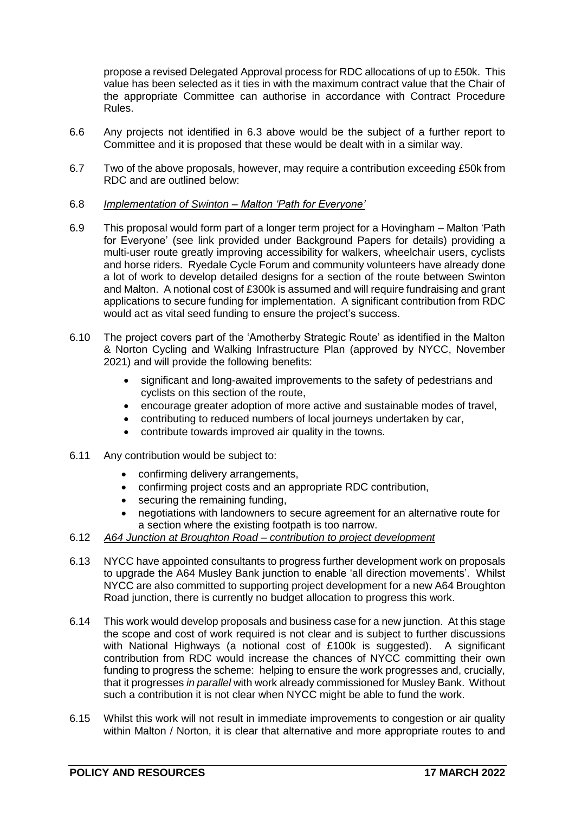propose a revised Delegated Approval process for RDC allocations of up to £50k. This value has been selected as it ties in with the maximum contract value that the Chair of the appropriate Committee can authorise in accordance with Contract Procedure Rules.

- 6.6 Any projects not identified in 6.3 above would be the subject of a further report to Committee and it is proposed that these would be dealt with in a similar way.
- 6.7 Two of the above proposals, however, may require a contribution exceeding £50k from RDC and are outlined below:

## 6.8 *Implementation of Swinton – Malton 'Path for Everyone'*

- 6.9 This proposal would form part of a longer term project for a Hovingham Malton 'Path for Everyone' (see link provided under Background Papers for details) providing a multi-user route greatly improving accessibility for walkers, wheelchair users, cyclists and horse riders. Ryedale Cycle Forum and community volunteers have already done a lot of work to develop detailed designs for a section of the route between Swinton and Malton. A notional cost of £300k is assumed and will require fundraising and grant applications to secure funding for implementation. A significant contribution from RDC would act as vital seed funding to ensure the project's success.
- 6.10 The project covers part of the 'Amotherby Strategic Route' as identified in the Malton & Norton Cycling and Walking Infrastructure Plan (approved by NYCC, November 2021) and will provide the following benefits:
	- significant and long-awaited improvements to the safety of pedestrians and cyclists on this section of the route,
	- encourage greater adoption of more active and sustainable modes of travel,
	- contributing to reduced numbers of local journeys undertaken by car,
	- contribute towards improved air quality in the towns.
- 6.11 Any contribution would be subject to:
	- confirming delivery arrangements,
	- confirming project costs and an appropriate RDC contribution,
	- securing the remaining funding,
	- negotiations with landowners to secure agreement for an alternative route for a section where the existing footpath is too narrow.
- 6.12 *A64 Junction at Broughton Road – contribution to project development*
- 6.13 NYCC have appointed consultants to progress further development work on proposals to upgrade the A64 Musley Bank junction to enable 'all direction movements'. Whilst NYCC are also committed to supporting project development for a new A64 Broughton Road junction, there is currently no budget allocation to progress this work.
- 6.14 This work would develop proposals and business case for a new junction. At this stage the scope and cost of work required is not clear and is subject to further discussions with National Highways (a notional cost of £100k is suggested). A significant contribution from RDC would increase the chances of NYCC committing their own funding to progress the scheme: helping to ensure the work progresses and, crucially, that it progresses *in parallel* with work already commissioned for Musley Bank. Without such a contribution it is not clear when NYCC might be able to fund the work.
- 6.15 Whilst this work will not result in immediate improvements to congestion or air quality within Malton / Norton, it is clear that alternative and more appropriate routes to and